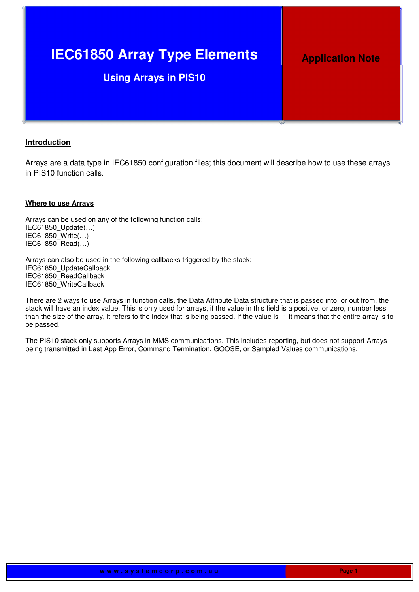# **IEC61850 Array Type Elements**

## **Using Arrays in PIS10**

## **Application Note**

#### **Introduction**

Arrays are a data type in IEC61850 configuration files; this document will describe how to use these arrays in PIS10 function calls.

#### **Where to use Arrays**

Arrays can be used on any of the following function calls: IEC61850\_Update(…) IEC61850\_Write(…) IEC61850\_Read(…)

Arrays can also be used in the following callbacks triggered by the stack: IEC61850\_UpdateCallback IEC61850\_ReadCallback IEC61850\_WriteCallback

There are 2 ways to use Arrays in function calls, the Data Attribute Data structure that is passed into, or out from, the stack will have an index value. This is only used for arrays, if the value in this field is a positive, or zero, number less than the size of the array, it refers to the index that is being passed. If the value is -1 it means that the entire array is to be passed.

The PIS10 stack only supports Arrays in MMS communications. This includes reporting, but does not support Arrays being transmitted in Last App Error, Command Termination, GOOSE, or Sampled Values communications.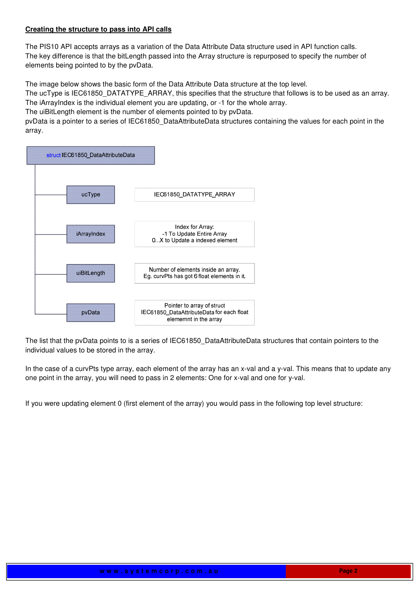#### **Creating the structure to pass into API calls**

The PIS10 API accepts arrays as a variation of the Data Attribute Data structure used in API function calls. The key difference is that the bitLength passed into the Array structure is repurposed to specify the number of elements being pointed to by the pvData.

The image below shows the basic form of the Data Attribute Data structure at the top level.

The ucType is IEC61850\_DATATYPE\_ARRAY, this specifies that the structure that follows is to be used as an array. The iArrayIndex is the individual element you are updating, or -1 for the whole array.

The uiBitLength element is the number of elements pointed to by pvData.

pvData is a pointer to a series of IEC61850\_DataAttributeData structures containing the values for each point in the array.



The list that the pvData points to is a series of IEC61850\_DataAttributeData structures that contain pointers to the individual values to be stored in the array.

In the case of a curvPts type array, each element of the array has an x-val and a y-val. This means that to update any one point in the array, you will need to pass in 2 elements: One for x-val and one for y-val.

If you were updating element 0 (first element of the array) you would pass in the following top level structure: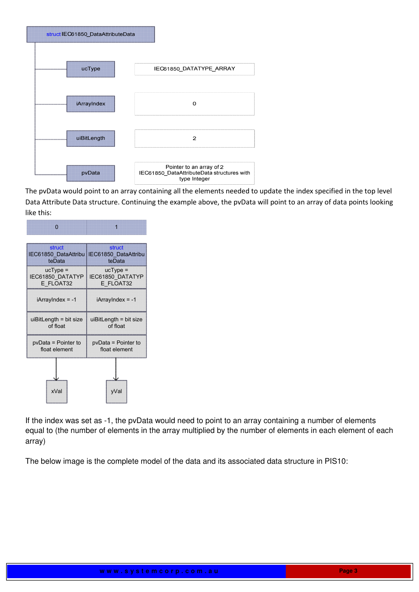

The pvData would point to an array containing all the elements needed to update the index specified in the top level Data Attribute Data structure. Continuing the example above, the pvData will point to an array of data points looking like this:



If the index was set as -1, the pvData would need to point to an array containing a number of elements equal to (the number of elements in the array multiplied by the number of elements in each element of each array)

The below image is the complete model of the data and its associated data structure in PIS10: